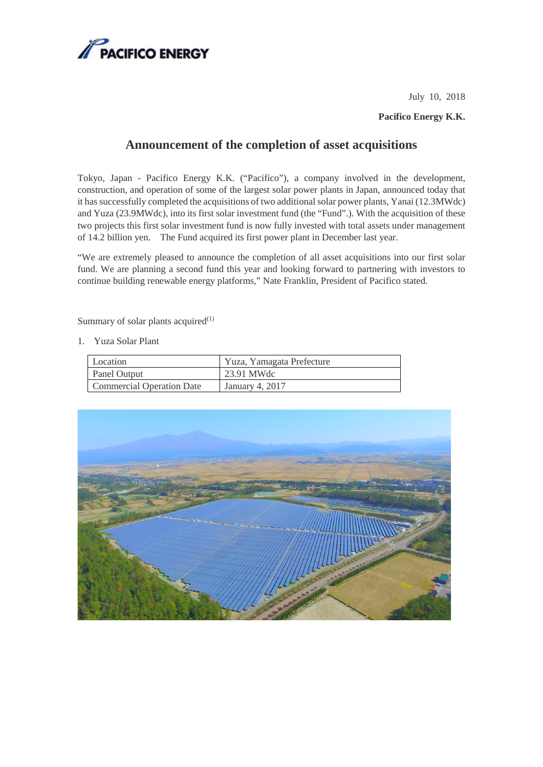

July 10, 2018

**Pacifico Energy K.K.**

## **Announcement of the completion of asset acquisitions**

Tokyo, Japan - Pacifico Energy K.K. ("Pacifico"), a company involved in the development, construction, and operation of some of the largest solar power plants in Japan, announced today that it has successfully completed the acquisitions of two additionalsolar power plants, Yanai (12.3MWdc) and Yuza (23.9MWdc), into its first solar investment fund (the "Fund".). With the acquisition of these two projects this first solar investment fund is now fully invested with total assets under management of 14.2 billion yen. The Fund acquired its first power plant in December last year.

"We are extremely pleased to announce the completion of all asset acquisitions into our first solar fund. We are planning a second fund this year and looking forward to partnering with investors to continue building renewable energy platforms," Nate Franklin, President of Pacifico stated.

Summary of solar plants acquired $(1)$ 

1. Yuza Solar Plant

| Location                  | Yuza, Yamagata Prefecture |
|---------------------------|---------------------------|
| Panel Output              | 23.91 MWdc                |
| Commercial Operation Date | January 4, 2017           |